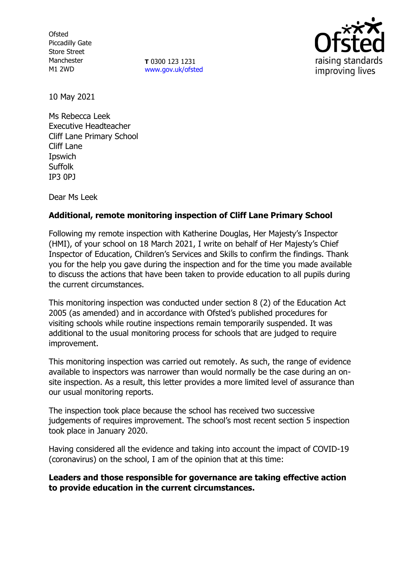**Ofsted** Piccadilly Gate Store Street Manchester M1 2WD

**T** 0300 123 1231 [www.gov.uk/ofsted](http://www.gov.uk/ofsted)



10 May 2021

Ms Rebecca Leek Executive Headteacher Cliff Lane Primary School Cliff Lane Ipswich Suffolk IP3 0PJ

Dear Ms Leek

# **Additional, remote monitoring inspection of Cliff Lane Primary School**

Following my remote inspection with Katherine Douglas, Her Majesty's Inspector (HMI), of your school on 18 March 2021, I write on behalf of Her Majesty's Chief Inspector of Education, Children's Services and Skills to confirm the findings. Thank you for the help you gave during the inspection and for the time you made available to discuss the actions that have been taken to provide education to all pupils during the current circumstances.

This monitoring inspection was conducted under section 8 (2) of the Education Act 2005 (as amended) and in accordance with Ofsted's published procedures for visiting schools while routine inspections remain temporarily suspended. It was additional to the usual monitoring process for schools that are judged to require improvement.

This monitoring inspection was carried out remotely. As such, the range of evidence available to inspectors was narrower than would normally be the case during an onsite inspection. As a result, this letter provides a more limited level of assurance than our usual monitoring reports.

The inspection took place because the school has received two successive judgements of requires improvement. The school's most recent section 5 inspection took place in January 2020.

Having considered all the evidence and taking into account the impact of COVID-19 (coronavirus) on the school, I am of the opinion that at this time:

# **Leaders and those responsible for governance are taking effective action to provide education in the current circumstances.**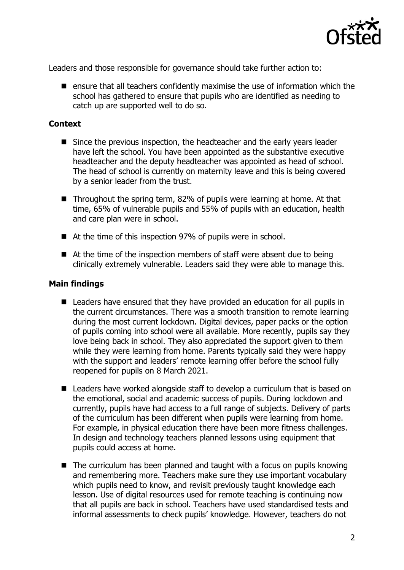

Leaders and those responsible for governance should take further action to:

 $\blacksquare$  ensure that all teachers confidently maximise the use of information which the school has gathered to ensure that pupils who are identified as needing to catch up are supported well to do so.

## **Context**

- Since the previous inspection, the headteacher and the early years leader have left the school. You have been appointed as the substantive executive headteacher and the deputy headteacher was appointed as head of school. The head of school is currently on maternity leave and this is being covered by a senior leader from the trust.
- Throughout the spring term, 82% of pupils were learning at home. At that time, 65% of vulnerable pupils and 55% of pupils with an education, health and care plan were in school.
- At the time of this inspection 97% of pupils were in school.
- At the time of the inspection members of staff were absent due to being clinically extremely vulnerable. Leaders said they were able to manage this.

### **Main findings**

- Leaders have ensured that they have provided an education for all pupils in the current circumstances. There was a smooth transition to remote learning during the most current lockdown. Digital devices, paper packs or the option of pupils coming into school were all available. More recently, pupils say they love being back in school. They also appreciated the support given to them while they were learning from home. Parents typically said they were happy with the support and leaders' remote learning offer before the school fully reopened for pupils on 8 March 2021.
- Leaders have worked alongside staff to develop a curriculum that is based on the emotional, social and academic success of pupils. During lockdown and currently, pupils have had access to a full range of subjects. Delivery of parts of the curriculum has been different when pupils were learning from home. For example, in physical education there have been more fitness challenges. In design and technology teachers planned lessons using equipment that pupils could access at home.
- $\blacksquare$  The curriculum has been planned and taught with a focus on pupils knowing and remembering more. Teachers make sure they use important vocabulary which pupils need to know, and revisit previously taught knowledge each lesson. Use of digital resources used for remote teaching is continuing now that all pupils are back in school. Teachers have used standardised tests and informal assessments to check pupils' knowledge. However, teachers do not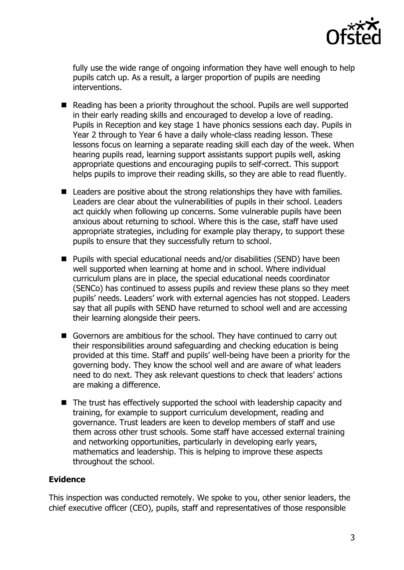

fully use the wide range of ongoing information they have well enough to help pupils catch up. As a result, a larger proportion of pupils are needing interventions.

- Reading has been a priority throughout the school. Pupils are well supported in their early reading skills and encouraged to develop a love of reading. Pupils in Reception and key stage 1 have phonics sessions each day. Pupils in Year 2 through to Year 6 have a daily whole-class reading lesson. These lessons focus on learning a separate reading skill each day of the week. When hearing pupils read, learning support assistants support pupils well, asking appropriate questions and encouraging pupils to self-correct. This support helps pupils to improve their reading skills, so they are able to read fluently.
- Leaders are positive about the strong relationships they have with families. Leaders are clear about the vulnerabilities of pupils in their school. Leaders act quickly when following up concerns. Some vulnerable pupils have been anxious about returning to school. Where this is the case, staff have used appropriate strategies, including for example play therapy, to support these pupils to ensure that they successfully return to school.
- Pupils with special educational needs and/or disabilities (SEND) have been well supported when learning at home and in school. Where individual curriculum plans are in place, the special educational needs coordinator (SENCo) has continued to assess pupils and review these plans so they meet pupils' needs. Leaders' work with external agencies has not stopped. Leaders say that all pupils with SEND have returned to school well and are accessing their learning alongside their peers.
- Governors are ambitious for the school. They have continued to carry out their responsibilities around safeguarding and checking education is being provided at this time. Staff and pupils' well-being have been a priority for the governing body. They know the school well and are aware of what leaders need to do next. They ask relevant questions to check that leaders' actions are making a difference.
- The trust has effectively supported the school with leadership capacity and training, for example to support curriculum development, reading and governance. Trust leaders are keen to develop members of staff and use them across other trust schools. Some staff have accessed external training and networking opportunities, particularly in developing early years, mathematics and leadership. This is helping to improve these aspects throughout the school.

# **Evidence**

This inspection was conducted remotely. We spoke to you, other senior leaders, the chief executive officer (CEO), pupils, staff and representatives of those responsible